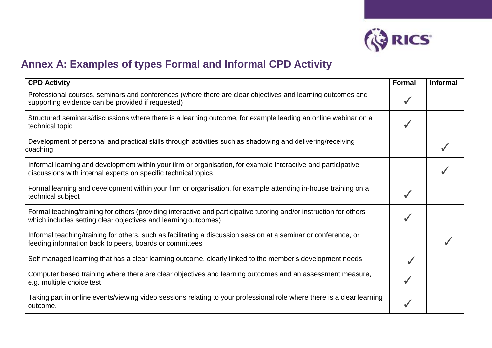

## **Annex A: Examples of types Formal and Informal CPD Activity**

| <b>CPD Activity</b>                                                                                                                                                                   | <b>Formal</b> | <b>Informal</b> |
|---------------------------------------------------------------------------------------------------------------------------------------------------------------------------------------|---------------|-----------------|
| Professional courses, seminars and conferences (where there are clear objectives and learning outcomes and<br>supporting evidence can be provided if requested)                       |               |                 |
| Structured seminars/discussions where there is a learning outcome, for example leading an online webinar on a<br>technical topic                                                      |               |                 |
| Development of personal and practical skills through activities such as shadowing and delivering/receiving<br>coaching                                                                |               |                 |
| Informal learning and development within your firm or organisation, for example interactive and participative<br>discussions with internal experts on specific technical topics       |               |                 |
| Formal learning and development within your firm or organisation, for example attending in-house training on a<br>technical subject                                                   |               |                 |
| Formal teaching/training for others (providing interactive and participative tutoring and/or instruction for others<br>which includes setting clear objectives and learning outcomes) |               |                 |
| Informal teaching/training for others, such as facilitating a discussion session at a seminar or conference, or<br>feeding information back to peers, boards or committees            |               |                 |
| Self managed learning that has a clear learning outcome, clearly linked to the member's development needs                                                                             |               |                 |
| Computer based training where there are clear objectives and learning outcomes and an assessment measure,<br>e.g. multiple choice test                                                |               |                 |
| Taking part in online events/viewing video sessions relating to your professional role where there is a clear learning<br>outcome.                                                    |               |                 |